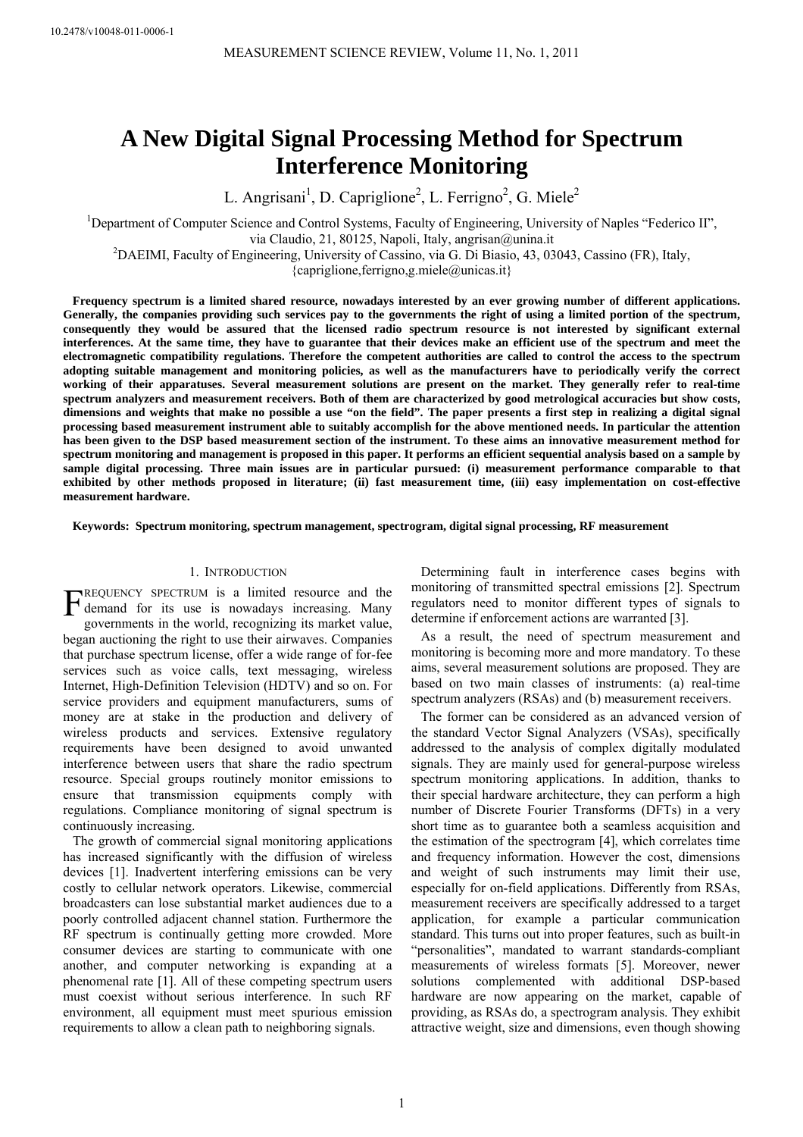# **A New Digital Signal Processing Method for Spectrum Interference Monitoring**

L. Angrisani<sup>1</sup>, D. Capriglione<sup>2</sup>, L. Ferrigno<sup>2</sup>, G. Miele<sup>2</sup>

<sup>1</sup>Department of Computer Science and Control Systems, Faculty of Engineering, University of Naples "Federico II", via Claudio, 21, 80125, Napoli, Italy, angrisan@unina.it

<sup>2</sup>DAEIMI, Faculty of Engineering, University of Cassino, via G. Di Biasio, 43, 03043, Cassino (FR), Italy,

{capriglione,ferrigno,g.miele@unicas.it}

**Frequency spectrum is a limited shared resource, nowadays interested by an ever growing number of different applications. Generally, the companies providing such services pay to the governments the right of using a limited portion of the spectrum, consequently they would be assured that the licensed radio spectrum resource is not interested by significant external interferences. At the same time, they have to guarantee that their devices make an efficient use of the spectrum and meet the electromagnetic compatibility regulations. Therefore the competent authorities are called to control the access to the spectrum adopting suitable management and monitoring policies, as well as the manufacturers have to periodically verify the correct working of their apparatuses. Several measurement solutions are present on the market. They generally refer to real-time spectrum analyzers and measurement receivers. Both of them are characterized by good metrological accuracies but show costs, dimensions and weights that make no possible a use "on the field". The paper presents a first step in realizing a digital signal processing based measurement instrument able to suitably accomplish for the above mentioned needs. In particular the attention has been given to the DSP based measurement section of the instrument. To these aims an innovative measurement method for spectrum monitoring and management is proposed in this paper. It performs an efficient sequential analysis based on a sample by sample digital processing. Three main issues are in particular pursued: (i) measurement performance comparable to that exhibited by other methods proposed in literature; (ii) fast measurement time, (iii) easy implementation on cost-effective measurement hardware.** 

**Keywords: Spectrum monitoring, spectrum management, spectrogram, digital signal processing, RF measurement** 

## 1. INTRODUCTION

RE QUENCY SPECTRUM is a limited resource and the FREQUENCY SPECTRUM is a limited resource and the<br>demand for its use is nowadays increasing. Many<br>examinate in the usual accomising its mediation go vernments in the world, recognizing its market value, began auctioning the right to use their airwaves. Companies that purchase spectrum license, offer a wide range of for-fee services such as voice calls, text messaging, wireless Internet, High-Definition Television (HDTV) and so on. For service providers and equipment manufacturers, sums of money are at stake in the production and delivery of wireless products and services. Extensive regulatory requirements have been designed to avoid unwanted interference between users that share the radio spectrum resource. Special groups routinely monitor emissions to ensure that transmission equipments comply with regulations. Compliance monitoring of signal spectrum is continuously increasing.

The growth of commercial signal monitoring applications has increased significantly with the diffusion of wireless devices [\[1\].](#page-6-0) Inadvertent interfering emissions can be very costly to cellular network operators. Likewise, commercial broadcasters can lose substantial market audiences due to a poorly controlled adjacent channel station. Furthermore the RF spectrum is continually getting more crowded. More consumer devices are starting to communicate with one another, and computer networking is expanding at a phenomenal rate [\[1\].](#page-6-0) All of these competing spectrum users must coexist without serious interference. In such RF environment, all equipment must meet spurious emission requirements to allow a clean path to neighboring signals.

Determining fault in interference cases begins with monitoring of transmitted spectral emissions [\[2\].](#page-6-1) Spectrum regulators need to monitor different types of signals to determine if enforcement actions are warranted [\[3\]](#page-6-2).

As a result, the need of spectrum measurement and monitoring is becoming more and more mandatory. To these aims, several measurement solutions are proposed. They are based on two main classes of instruments: (a) real-time spectrum analyzers (RSAs) and (b) measurement receivers.

The former can be considered as an advanced version of the standard Vector Signal Analyzers (VSAs), specifically addressed to the analysis of complex digitally modulated signals. They are mainly used for general-purpose wireless spectrum monitoring applications. In addition, thanks to their special hardware architecture, they can perform a high number of Discrete Fourier Transforms (DFTs) in a very short time as to guarantee both a seamless acquisition and the estimation of the spectrogram [\[4\],](#page-6-3) which correlates time and frequency information. However the cost, dimensions and weight of such instruments may limit their use, especially for on-field applications. Differently from RSAs, measurement receivers are specifically addressed to a target application, for example a particular communication standard. This turns out into proper features, such as built-in "personalities", mandated to warrant standards-compliant measurements of wireless formats [\[5\]](#page-6-4). Moreover, newer solutions complemented with additional DSP-based hardware are now appearing on the market, capable of providing, as RSAs do, a spectrogram analysis. They exhibit attractive weight, size and dimensions, even though showing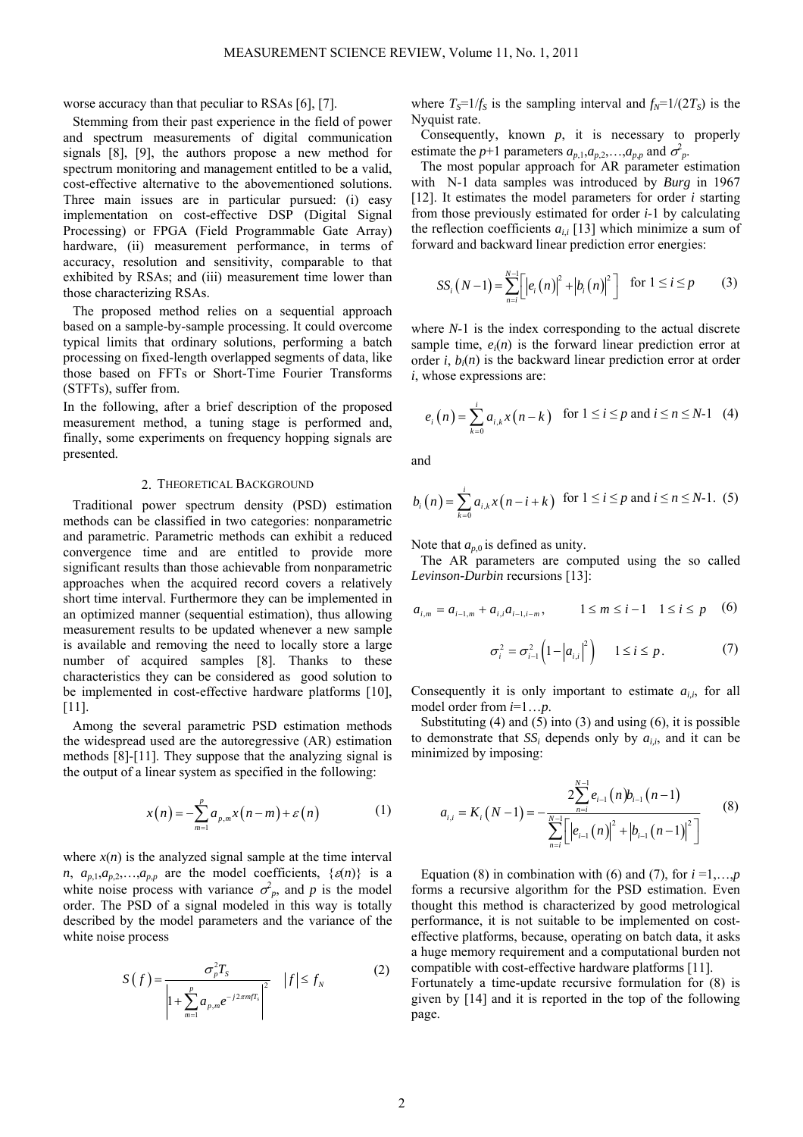worse accuracy than that peculiar to RSAs [\[6\],](#page-6-5) [\[7\].](#page-6-6)

Stemming from their past experience in the field of power and spectrum measurements of digital communication signals [\[8\],](#page-6-7) [\[9\],](#page-6-8) the authors propose a new method for spectrum monitoring and management entitled to be a valid, cost-effective alternative to the abovementioned solutions. Three main issues are in particular pursued: (i) easy implementation on cost-effective DSP (Digital Signal Processing) or FPGA (Field Programmable Gate Array) hardware, (ii) measurement performance, in terms of accuracy, resolution and sensitivity, comparable to that exhibited by RSAs; and (iii) measurement time lower than those characterizing RSAs.

The proposed method relies on a sequential approach based on a sample-by-sample processing. It could overcome typical limits that ordinary solutions, performing a batch processing on fixed-length overlapped segments of data, like those based on FFTs or Short-Time Fourier Transforms (STFTs), suffer from.

In the following, after a brief description of the proposed measurement method, a tuning stage is performed and, finally, some experiments on frequency hopping signals are presented.

#### 2. THEORETICAL BACKGROUND

Traditional power spectrum density (PSD) estimation methods can be classified in two categories: nonparametric and parametric. Parametric methods can exhibit a reduced convergence time and are entitled to provide more significant results than those achievable from nonparametric approaches when the acquired record covers a relatively short time interval. Furthermore they can be implemented in an optimized manner (sequential estimation), thus allowing measurement results to be updated whenever a new sample is available and removing the need to locally store a large number of acquired samples [\[8\].](#page-6-7) Thanks to these characteristics they can be considered as good solution to be implemented in cost-effective hardware platforms [\[10\]](#page-6-9), [\[11\].](#page-7-0)

Among the several parametric PSD estimation methods the widespread used are the autoregressive (AR) estimation methods [\[8\]-](#page-6-7)[\[11\].](#page-7-0) They suppose that the analyzing signal is the output of a linear system as specified in the following:

$$
x(n) = -\sum_{m=1}^{p} a_{p,m} x(n-m) + \varepsilon(n)
$$
 (1)

where  $x(n)$  is the analyzed signal sample at the time interval *n*,  $a_{p,1}, a_{p,2}, \ldots, a_{p,p}$  are the model coefficients,  $\{\varepsilon(n)\}$  is a white noise process with variance  $\sigma_p^2$ , and p is the model order. The PSD of a signal modeled in this way is totally described by the model parameters and the variance of the white noise process

$$
S(f) = \frac{\sigma_p^2 T_s}{\left| 1 + \sum_{m=1}^p a_{p,m} e^{-j2\pi m f T_s} \right|^2} \quad |f| \le f_N
$$
 (2)

where  $T_s = 1/f_s$  is the sampling interval and  $f_N = 1/(2T_s)$  is the Nyquist rate.

Consequently, known *p*, it is necessary to properly estimate the *p*+1 parameters  $a_{p,1}, a_{p,2},..., a_{p,p}$  and  $\sigma_p^2$ .

The most popular approach for AR parameter estimation with N-1 data samples was introduced by *Burg* in 1967 [12]. It estimates the model parameters for order *i* starting from those previously estimated for order *i*-1 by calculating the reflection coefficients  $a_{i,i}$  [\[13\]](#page-7-0) which minimize a sum of forward and backward linear prediction error energies:

$$
SS_i (N-1) = \sum_{n=i}^{N-1} \Big[ \big| e_i(n) \big|^2 + \big| b_i(n) \big|^2 \Big] \text{ for } 1 \le i \le p \tag{3}
$$

where *N*-1 is the index corresponding to the actual discrete sample time,  $e_i(n)$  is the forward linear prediction error at order  $i$ ,  $b_i(n)$  is the backward linear prediction error at order *i*, whose expressions are:

$$
e_i(n) = \sum_{k=0}^{i} a_{i,k} x(n-k) \text{ for } 1 \le i \le p \text{ and } i \le n \le N-1 \quad (4)
$$

and

$$
b_i(n) = \sum_{k=0}^{i} a_{i,k} x(n-i+k)
$$
 for  $1 \le i \le p$  and  $i \le n \le N-1$ . (5)

Note that  $a_{n,0}$  is defined as unity.

The AR parameters are computed using the so called *Levinson-Durbin* recursions [\[13\]:](#page-7-0)

$$
a_{i,m} = a_{i-1,m} + a_{i,i}a_{i-1,i-m}, \qquad 1 \le m \le i-1 \quad 1 \le i \le p \quad (6)
$$

$$
\sigma_i^2 = \sigma_{i-1}^2 \left( 1 - |a_{i,i}|^2 \right) \quad 1 \le i \le p. \tag{7}
$$

Consequently it is only important to estimate  $a_{i,i}$ , for all model order from *i*=1…*p*.

Substituting  $(4)$  and  $(5)$  into  $(3)$  and using  $(6)$ , it is possible to demonstrate that  $SS_i$  depends only by  $a_{ij}$ , and it can be minimized by imposing:

$$
a_{i,i} = K_i (N-1) = -\frac{2 \sum_{n=i}^{N-1} e_{i-1}(n) b_{i-1}(n-1)}{\sum_{n=i}^{N-1} \left[ \left| e_{i-1}(n) \right|^2 + \left| b_{i-1}(n-1) \right|^2 \right]}
$$
(8)

Equation (8) in combination with (6) and (7), for  $i = 1,...,p$ forms a recursive algorithm for the PSD estimation. Even thought this method is characterized by good metrological performance, it is not suitable to be implemented on costeffective platforms, because, operating on batch data, it asks a huge memory requirement and a computational burden not compatible with cost-effective hardware platforms [\[11\]](#page-7-0).

Fortunately a time-update recursive formulation for (8) is given by [\[14\]](#page-7-1) and it is reported in the top of the following page.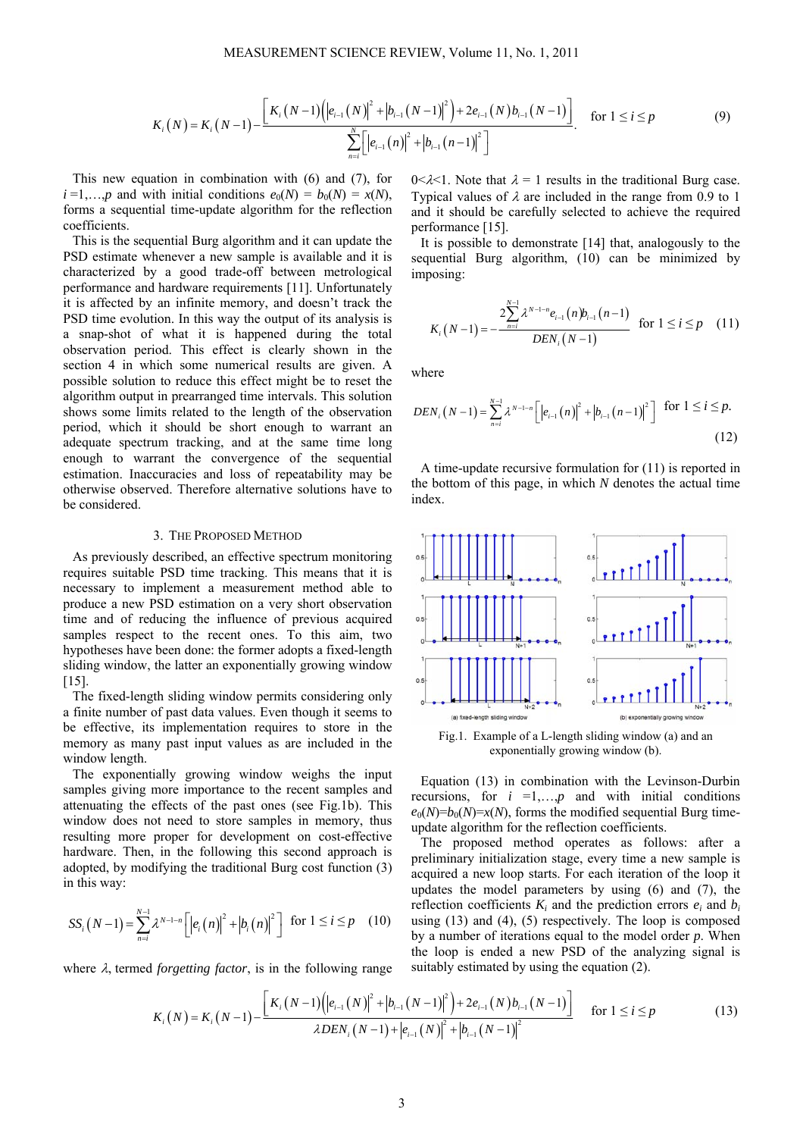$$
K_{i}(N) = K_{i}(N-1) - \frac{\left[K_{i}(N-1)\left(|e_{i-1}(N)|^{2} + |b_{i-1}(N-1)|^{2}\right) + 2e_{i-1}(N)b_{i-1}(N-1)\right]}{\sum_{n=i}^{N}\left[|e_{i-1}(n)|^{2} + |b_{i-1}(n-1)|^{2}\right]} \quad \text{for } 1 \leq i \leq p
$$
\n(9)

This new equation in combination with (6) and (7), for  $i = 1,...,p$  and with initial conditions  $e_0(N) = b_0(N) = x(N)$ , forms a sequential time-update algorithm for the reflection coefficients.

This is the sequential Burg algorithm and it can update the PSD estimate whenever a new sample is available and it is characterized by a good trade-off between metrological performance and hardware requirements [\[11\]](#page-7-0). Unfortunately it is affected by an infinite memory, and doesn't track the PSD time evolution. In this way the output of its analysis is a snap-shot of what it is happened during the total observation period. This effect is clearly shown in the section 4 in which some numerical results are given. A possible solution to reduce this effect might be to reset the algorithm output in prearranged time intervals. This solution shows some limits related to the length of the observation period, which it should be short enough to warrant an adequate spectrum tracking, and at the same time long enough to warrant the convergence of the sequential estimation. Inaccuracies and loss of repeatability may be otherwise observed. Therefore alternative solutions have to be considered.

### 3. THE PROPOSED METHOD

As previously described, an effective spectrum monitoring requires suitable PSD time tracking. This means that it is necessary to implement a measurement method able to produce a new PSD estimation on a very short observation time and of reducing the influence of previous acquired samples respect to the recent ones. To this aim, two hypotheses have been done: the former adopts a fixed-length sliding window, the latter an exponentially growing window [\[15\].](#page-7-2)

The fixed-length sliding window permits considering only a finite number of past data values. Even though it seems to be effective, its implementation requires to store in the memory as many past input values as are included in the window length.

The exponentially growing window weighs the input samples giving more importance to the recent samples and attenuating the effects of the past ones (see Fig.1b). This window does not need to store samples in memory, thus resulting more proper for development on cost-effective hardware. Then, in the following this second approach is adopted, by modifying the traditional Burg cost function (3) in this way:

$$
SS_i(N-1) = \sum_{n=i}^{N-1} \lambda^{N-1-n} \left[ \left| e_i(n) \right|^2 + \left| b_i(n) \right|^2 \right] \text{ for } 1 \le i \le p \quad (10)
$$

where λ, termed *forgetting factor*, is in the following range

 $0 \le \lambda \le 1$ . Note that  $\lambda = 1$  results in the traditional Burg case. Typical values of  $\lambda$  are included in the range from 0.9 to 1 and it should be carefully selected to achieve the required performance [15].

It is possible to demonstrate [\[14\]](#page-7-1) that, analogously to the sequential Burg algorithm, (10) can be minimized by imposing:

$$
K_i(N-1) = -\frac{2\sum_{n=i}^{N-1} \lambda^{N-1-n} e_{i-1}(n) b_{i-1}(n-1)}{D E N_i(N-1)}
$$
 for  $1 \le i \le p$  (11)

where

$$
DEN_i(N-1) = \sum_{n=i}^{N-1} \lambda^{N-1-n} \Big[ \big| e_{i-1}(n) \big|^2 + \big| b_{i-1}(n-1) \big|^2 \Big] \text{ for } 1 \le i \le p.
$$
\n(12)

A time-update recursive formulation for (11) is reported in the bottom of this page, in which *N* denotes the actual time index.



exponentially growing window (b).

Equation (13) in combination with the Levinson-Durbin recursions, for  $i =1,...,p$  and with initial conditions  $e_0(N)=b_0(N)=x(N)$ , forms the modified sequential Burg timeupdate algorithm for the reflection coefficients.

The proposed method operates as follows: after a preliminary initialization stage, every time a new sample is acquired a new loop starts. For each iteration of the loop it updates the model parameters by using (6) and (7), the reflection coefficients  $K_i$  and the prediction errors  $e_i$  and  $b_i$ using  $(13)$  and  $(4)$ ,  $(5)$  respectively. The loop is composed by a number of iterations equal to the model order *p*. When the loop is ended a new PSD of the analyzing signal is suitably estimated by using the equation (2).

$$
K_{i}(N) = K_{i}(N-1) - \frac{\left[K_{i}(N-1)\left(|e_{i-1}(N)|^{2} + |b_{i-1}(N-1)|^{2}\right) + 2e_{i-1}(N)b_{i-1}(N-1)\right]}{\lambda DEM_{i}(N-1) + |e_{i-1}(N)|^{2} + |b_{i-1}(N-1)|^{2}} \quad \text{for } 1 \le i \le p
$$
\n(13)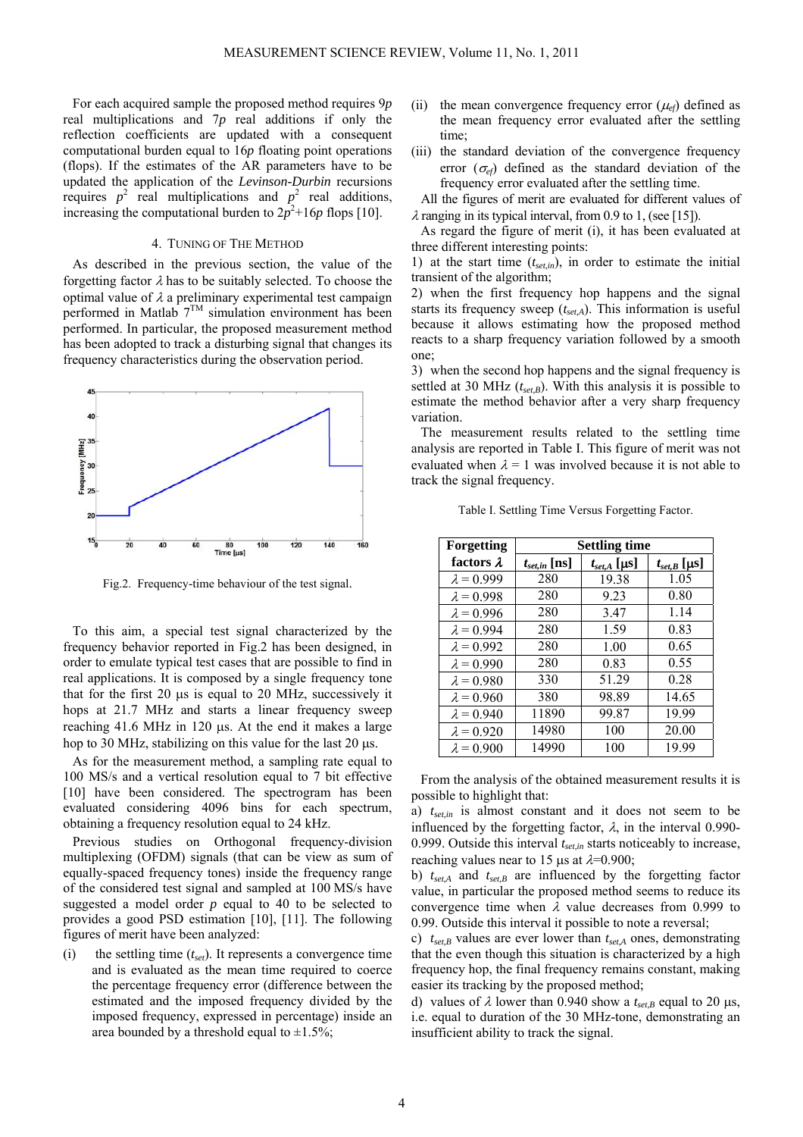For each acquired sample the proposed method requires 9*p* real multiplications and 7*p* real additions if only the reflection coefficients are updated with a consequent computational burden equal to 16*p* floating point operations (flops). If the estimates of the AR parameters have to be updated the application of the *Levinson-Durbin* recursions requires  $p^2$  real multiplications and  $p^2$  real additions, increasing the computational burden to  $2p^2+16p$  flops [10].

# 4. TUNING OF THE METHOD

As described in the previous section, the value of the forgetting factor  $\lambda$  has to be suitably selected. To choose the optimal value of  $\lambda$  a preliminary experimental test campaign performed in Matlab  $7^{\text{TM}}$  simulation environment has been performed. In particular, the proposed measurement method has been adopted to track a disturbing signal that changes its frequency characteristics during the observation period.



Fig.2. Frequency-time behaviour of the test signal.

To this aim, a special test signal characterized by the frequency behavior reported in Fig.2 has been designed, in order to emulate typical test cases that are possible to find in real applications. It is composed by a single frequency tone that for the first 20 μs is equal to 20 MHz, successively it hops at 21.7 MHz and starts a linear frequency sweep reaching 41.6 MHz in 120 μs. At the end it makes a large hop to 30 MHz, stabilizing on this value for the last 20 μs.

As for the measurement method, a sampling rate equal to 100 MS/s and a vertical resolution equal to 7 bit effective [10] have been considered. The spectrogram has been evaluated considering 4096 bins for each spectrum, obtaining a frequency resolution equal to 24 kHz.

Previous studies on Orthogonal frequency-division multiplexing (OFDM) signals (that can be view as sum of equally-spaced frequency tones) inside the frequency range of the considered test signal and sampled at 100 MS/s have suggested a model order *p* equal to 40 to be selected to provides a good PSD estimation [\[10\]](#page-6-9), [\[11\].](#page-7-0) The following figures of merit have been analyzed:

the settling time  $(t_{set})$ . It represents a convergence time and is evaluated as the mean time required to coerce the percentage frequency error (difference between the estimated and the imposed frequency divided by the imposed frequency, expressed in percentage) inside an area bounded by a threshold equal to  $\pm 1.5\%$ ;

- the mean convergence frequency error  $(\mu_{\text{ef}})$  defined as the mean frequency error evaluated after the settling time;
- (iii) the standard deviation of the convergence frequency error  $(\sigma_{\rm ef})$  defined as the standard deviation of the frequency error evaluated after the settling time.
- All the figures of merit are evaluated for different values of  $\lambda$  ranging in its typical interval, from 0.9 to 1, (see [15]).

As regard the figure of merit (i), it has been evaluated at three different interesting points:

1) at the start time (*tset,in*), in order to estimate the initial transient of the algorithm;

2) when the first frequency hop happens and the signal starts its frequency sweep (*tset,A*). This information is useful because it allows estimating how the proposed method reacts to a sharp frequency variation followed by a smooth one;

3) when the second hop happens and the signal frequency is settled at 30 MHz  $(t_{set,B})$ . With this analysis it is possible to estimate the method behavior after a very sharp frequency variation.

The measurement results related to the settling time analysis are reported in Table I. This figure of merit was not evaluated when  $\lambda = 1$  was involved because it is not able to track the signal frequency.

| <b>Forgetting</b> | <b>Settling time</b> |                  |                  |  |  |  |
|-------------------|----------------------|------------------|------------------|--|--|--|
| factors $\lambda$ | $t_{set,in}$ [ns]    | $t_{set,A}$ [µs] | $t_{set,B}$ [µS] |  |  |  |
| $\lambda = 0.999$ | 280                  | 19.38            | 1.05             |  |  |  |
| $\lambda$ = 0.998 | 280                  | 9.23             | 0.80             |  |  |  |
| $\lambda = 0.996$ | 280                  | 3.47             | 1.14             |  |  |  |
| $\lambda = 0.994$ | 280                  | 1.59             | 0.83             |  |  |  |
| $\lambda = 0.992$ | 280                  | 1.00             | 0.65             |  |  |  |
| $\lambda = 0.990$ | 280                  | 0.83             | 0.55             |  |  |  |
| $\lambda$ = 0.980 | 330                  | 51.29            | 0.28             |  |  |  |
| $\lambda = 0.960$ | 380                  | 98.89            | 14.65            |  |  |  |
| $\lambda$ = 0.940 | 11890                | 99.87            | 19.99            |  |  |  |
| $\lambda$ = 0.920 | 14980                | 100              | 20.00            |  |  |  |
| $\lambda = 0.900$ | 14990                | 100              | 19.99            |  |  |  |

Table I. Settling Time Versus Forgetting Factor.

From the analysis of the obtained measurement results it is possible to highlight that:

a)  $t_{set,in}$  is almost constant and it does not seem to be influenced by the forgetting factor,  $\lambda$ , in the interval 0.990-0.999. Outside this interval  $t_{set,in}$  starts noticeably to increase, reaching values near to 15 μs at  $\lambda$ =0.900;

b)  $t_{set,A}$  and  $t_{set,B}$  are influenced by the forgetting factor value, in particular the proposed method seems to reduce its convergence time when  $\lambda$  value decreases from 0.999 to 0.99. Outside this interval it possible to note a reversal;

c)  $t_{\text{set},B}$  values are ever lower than  $t_{\text{set},A}$  ones, demonstrating that the even though this situation is characterized by a high frequency hop, the final frequency remains constant, making easier its tracking by the proposed method;

d) values of  $\lambda$  lower than 0.940 show a  $t_{set,B}$  equal to 20  $\mu$ s, i.e. equal to duration of the 30 MHz-tone, demonstrating an insufficient ability to track the signal.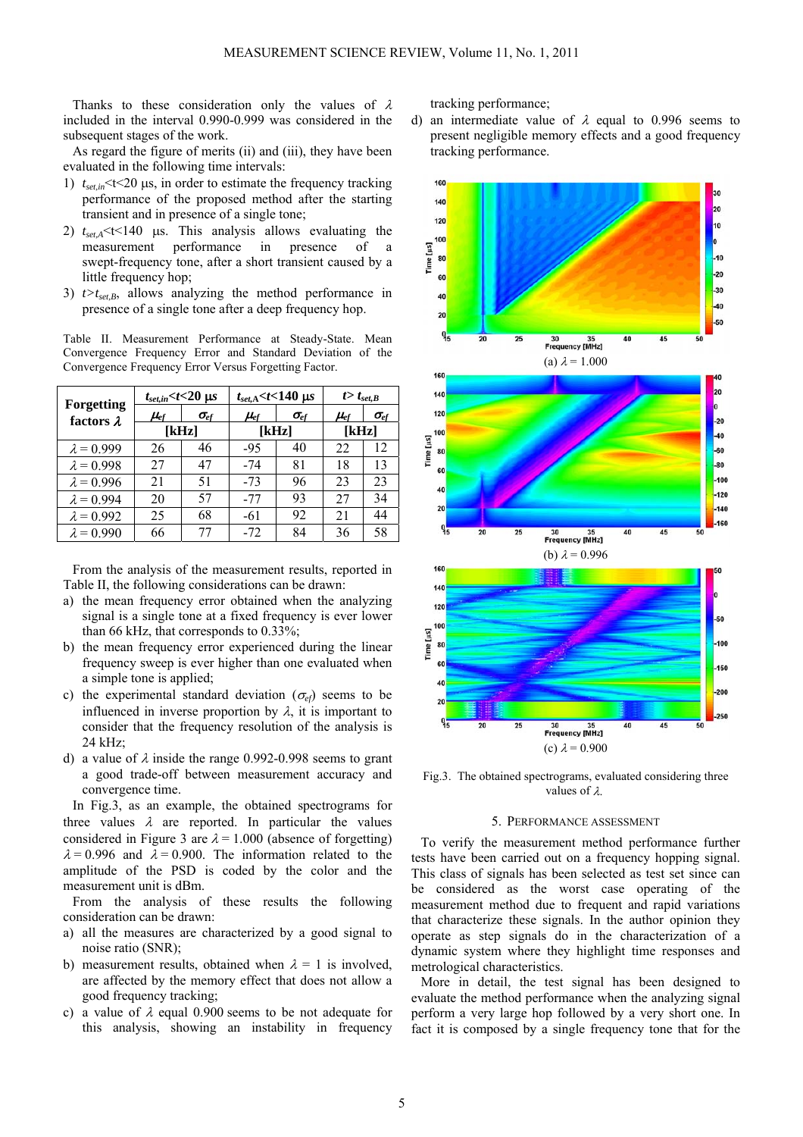Thanks to these consideration only the values of  $\lambda$ included in the interval 0.990-0.999 was considered in the subsequent stages of the work.

As regard the figure of merits (ii) and (iii), they have been evaluated in the following time intervals:

- 1)  $t_{set,in}$  < t < 20  $\mu$ s, in order to estimate the frequency tracking performance of the proposed method after the starting transient and in presence of a single tone;
- 2)  $t_{set,A}$  <t <140 µs. This analysis allows evaluating the measurement performance in presence of a swept-frequency tone, after a short transient caused by a little frequency hop;
- 3)  $t>t_{set,B}$ , allows analyzing the method performance in presence of a single tone after a deep frequency hop.

Table II. Measurement Performance at Steady-State. Mean Convergence Frequency Error and Standard Deviation of the Convergence Frequency Error Versus Forgetting Factor.

| Forgetting<br>factors $\lambda$ | $t_{set,in}$ < t < 20 µs |                   | $t_{set, A}$ <t <140="" th="" µs<=""><th></th><th colspan="2"><math>t &gt; t_{set,B}</math></th></t> |                   | $t > t_{set,B}$ |                   |
|---------------------------------|--------------------------|-------------------|------------------------------------------------------------------------------------------------------|-------------------|-----------------|-------------------|
|                                 | $\mu_{\rm ef}$           | $\sigma_{\!e\!f}$ | $\mu_{\rm ef}$                                                                                       | $\sigma_{\!e\!f}$ | $\mu_{\rm ef}$  | $\sigma_{\!e\!f}$ |
|                                 | [kHz]                    |                   | [kHz]                                                                                                |                   | [kHz]           |                   |
| $\lambda$ = 0.999               | 26                       | 46                | $-95$                                                                                                | 40                | 22              | 12                |
| $\lambda$ = 0.998               | 27                       | 47                | -74                                                                                                  | 81                | 18              | 13                |
| $\lambda$ = 0.996               | 21                       | 51                | $-73$                                                                                                | 96                | 23              | 23                |
| $\lambda = 0.994$               | 20                       | 57                | -77                                                                                                  | 93                | 27              | 34                |
| $\lambda = 0.992$               | 25                       | 68                | -61                                                                                                  | 92                | 21              | 44                |
| $\lambda$ = 0.990               | 66                       | 77                | -72                                                                                                  | 84                | 36              | 58                |

From the analysis of the measurement results, reported in Table II, the following considerations can be drawn:

- a) the mean frequency error obtained when the analyzing signal is a single tone at a fixed frequency is ever lower than 66 kHz, that corresponds to 0.33%;
- b) the mean frequency error experienced during the linear frequency sweep is ever higher than one evaluated when a simple tone is applied;
- c) the experimental standard deviation ( $\sigma_{ef}$ ) seems to be influenced in inverse proportion by  $\lambda$ , it is important to consider that the frequency resolution of the analysis is 24 kHz;
- d) a value of  $\lambda$  inside the range 0.992-0.998 seems to grant a good trade-off between measurement accuracy and convergence time.

In Fig.3, as an example, the obtained spectrograms for three values  $\lambda$  are reported. In particular the values considered in Figure 3 are  $\lambda = 1.000$  (absence of forgetting)  $\lambda = 0.996$  and  $\lambda = 0.900$ . The information related to the amplitude of the PSD is coded by the color and the measurement unit is dBm.

From the analysis of these results the following consideration can be drawn:

- a) all the measures are characterized by a good signal to noise ratio (SNR);
- b) measurement results, obtained when  $\lambda = 1$  is involved, are affected by the memory effect that does not allow a good frequency tracking;
- c) a value of  $\lambda$  equal 0.900 seems to be not adequate for this analysis, showing an instability in frequency

tracking performance;

d) an intermediate value of  $\lambda$  equal to 0.996 seems to present negligible memory effects and a good frequency tracking performance.



Fig.3. The obtained spectrograms, evaluated considering three values of λ.

## 5. PERFORMANCE ASSESSMENT

To verify the measurement method performance further tests have been carried out on a frequency hopping signal. This class of signals has been selected as test set since can be considered as the worst case operating of the measurement method due to frequent and rapid variations that characterize these signals. In the author opinion they operate as step signals do in the characterization of a dynamic system where they highlight time responses and metrological characteristics.

More in detail, the test signal has been designed to evaluate the method performance when the analyzing signal perform a very large hop followed by a very short one. In fact it is composed by a single frequency tone that for the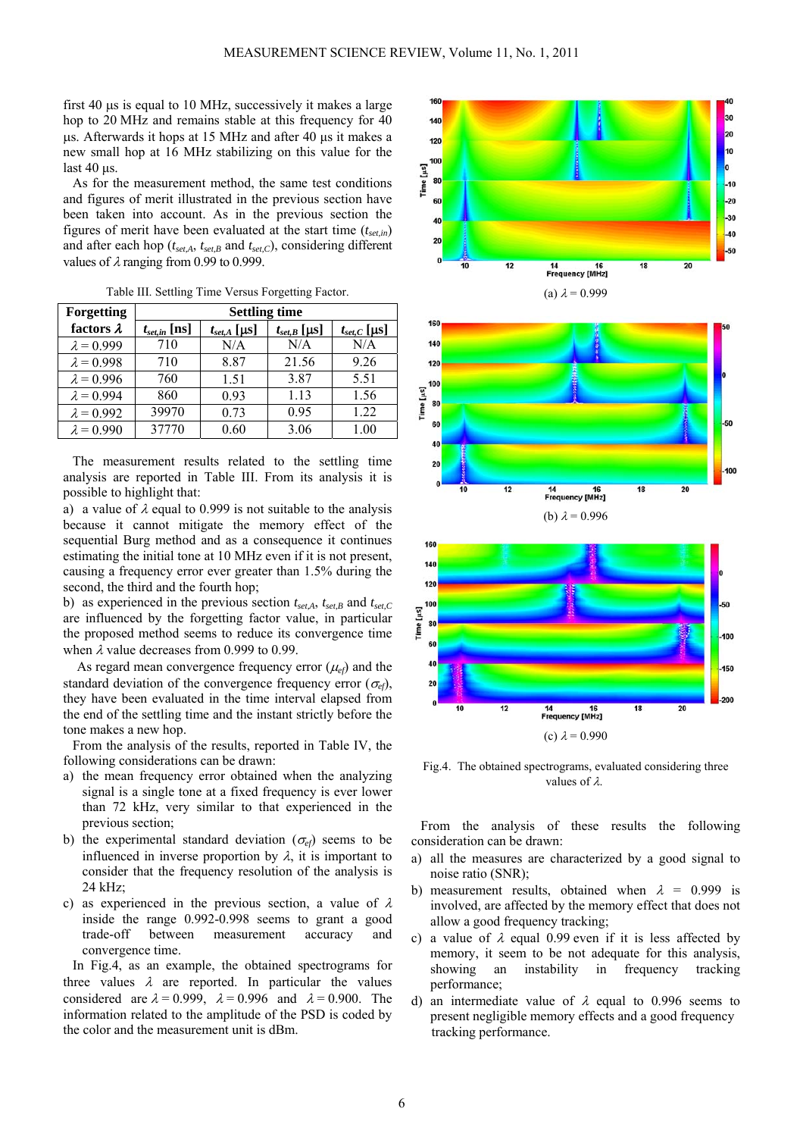first 40 μs is equal to 10 MHz, successively it makes a large hop to 20 MHz and remains stable at this frequency for 40 μs. Afterwards it hops at 15 MHz and after 40 μs it makes a new small hop at 16 MHz stabilizing on this value for the last 40 μs.

As for the measurement method, the same test conditions and figures of merit illustrated in the previous section have been taken into account. As in the previous section the figures of merit have been evaluated at the start time  $(t_{set in})$ and after each hop  $(t_{set,A}, t_{set,B}$  and  $t_{set,C}$ , considering different values of  $\lambda$  ranging from 0.99 to 0.999.

| <b>Forgetting</b> | <b>Settling time</b> |                         |                  |                         |  |  |
|-------------------|----------------------|-------------------------|------------------|-------------------------|--|--|
| factors $\lambda$ | $t_{set,in}$ [ns]    | $t_{\text{set,A}}$ [µs] | $t_{set,B}$ [µs] | $t_{\text{set},C}$ [µs] |  |  |
| $\lambda = 0.999$ | 710                  | N/A                     | N/A              | N/A                     |  |  |
| $\lambda = 0.998$ | 710                  | 8.87                    | 21.56            | 9.26                    |  |  |
| $\lambda = 0.996$ | 760                  | 1.51                    | 3.87             | 5.51                    |  |  |
| $\lambda = 0.994$ | 860                  | 0.93                    | 1.13             | 1.56                    |  |  |
| $\lambda$ = 0.992 | 39970                | 0.73                    | 0.95             | 1.22                    |  |  |
| $\lambda$ = 0.990 | 37770                | 0.60                    | 3.06             | 1.00                    |  |  |

The measurement results related to the settling time analysis are reported in Table III. From its analysis it is possible to highlight that:

a) a value of  $\lambda$  equal to 0.999 is not suitable to the analysis because it cannot mitigate the memory effect of the sequential Burg method and as a consequence it continues estimating the initial tone at 10 MHz even if it is not present, causing a frequency error ever greater than 1.5% during the second, the third and the fourth hop;

b) as experienced in the previous section  $t_{set,A}$ ,  $t_{set,B}$  and  $t_{set,C}$ are influenced by the forgetting factor value, in particular the proposed method seems to reduce its convergence time when  $\lambda$  value decreases from 0.999 to 0.99.

As regard mean convergence frequency error  $(\mu_{\text{ef}})$  and the standard deviation of the convergence frequency error  $(\sigma_{ef})$ , they have been evaluated in the time interval elapsed from the end of the settling time and the instant strictly before the

following considerations can be drawn: Fig.4. The obtained spectrograms, evaluated considering three

- a) the mean frequency error obtained when the analyzing values of  $\lambda$ . signal is a single tone at a fixed frequency is ever lower than 72 kHz, very similar to that experienced in the previous section; From the analysis of these results the following
- b) the experimental standard deviation ( $\sigma_{ef}$ ) seems to be consideration can be drawn: influenced in inverse proportion by  $\lambda$ , it is important to consider that the frequency resolution of the analysis is 24 kHz;
- c) as experienced in the previous section, a value of  $\lambda$ inside the range 0.992-0.998 seems to grant a good trade-off between measurement accuracy and convergence time.

In Fig.4, as an example, the obtained spectrograms for three values  $\lambda$  are reported. In particular the values considered are  $\lambda = 0.999$ ,  $\lambda = 0.996$  and  $\lambda = 0.900$ . The information related to the amplitude of the PSD is coded by the color and the measurement unit is dBm.







- a) all the measures are characterized by a good signal to noise ratio (SNR);
- b) measurement results, obtained when  $\lambda = 0.999$  is involved, are affected by the memory effect that does not allow a good frequency tracking;
- c) a value of  $\lambda$  equal 0.99 even if it is less affected by memory, it seem to be not adequate for this analysis, showing an instability in frequency tracking performance;
- d) an intermediate value of  $\lambda$  equal to 0.996 seems to present negligible memory effects and a good frequency tracking performance.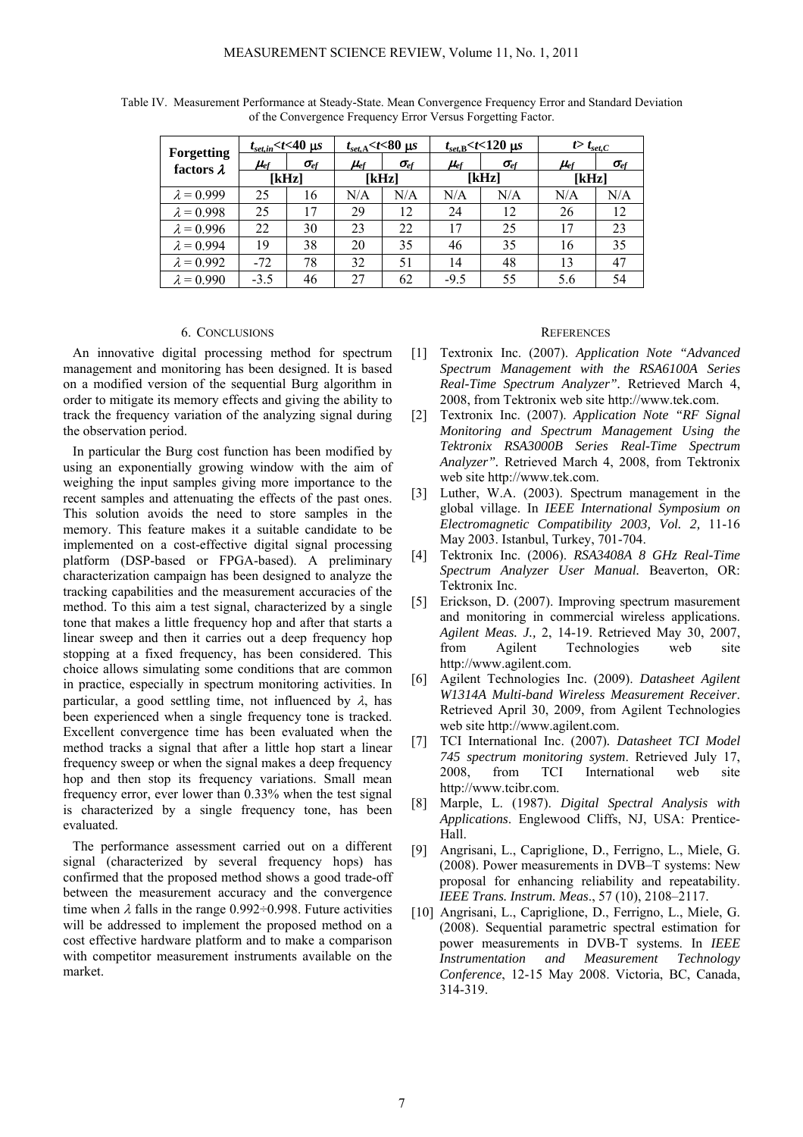| Forgetting        | $t_{set,in}$ < t < 40 $\mu$ s |                   | $t_{set,A}$ < t < 80 $\mu$ s |                   | $t_{\text{set,B}} < t < 120 \text{ }\mu\text{s}$ |                   | $t > t_{set,C}$ |                   |
|-------------------|-------------------------------|-------------------|------------------------------|-------------------|--------------------------------------------------|-------------------|-----------------|-------------------|
| factors $\lambda$ | $\mu_{\rm ef}$                | $\sigma_{\!e\!f}$ | $\mu_{\rm ef}$               | $\sigma_{\!e\!f}$ | $\mu_{\rm ef}$                                   | $\sigma_{\!e\!f}$ | $\mu_{\rm ef}$  | $\sigma_{\!e\!f}$ |
|                   | [kHz]                         |                   | [kHz]                        |                   | [kHz]                                            |                   | [kHz]           |                   |
| $\lambda$ = 0.999 | 25                            | 16                | N/A                          | N/A               | N/A                                              | N/A               | N/A             | N/A               |
| $\lambda$ = 0.998 | 25                            | 17                | 29                           | 12                | 24                                               | 12                | 26              | 12                |
| $\lambda$ = 0.996 | 22                            | 30                | 23                           | 22                | 17                                               | 25                | 17              | 23                |
| $\lambda$ = 0.994 | 19                            | 38                | 20                           | 35                | 46                                               | 35                | 16              | 35                |
| $\lambda$ = 0.992 | $-72$                         | 78                | 32                           | 51                | 14                                               | 48                | 13              | 47                |
| $\lambda = 0.990$ | $-3.5$                        | 46                | 27                           | 62                | $-9.5$                                           | 55                | 5.6             | 54                |

Table IV. Measurement Performance at Steady-State. Mean Convergence Frequency Error and Standard Deviation of the Convergence Frequency Error Versus Forgetting Factor.

## 6. CONCLUSIONS

<span id="page-6-0"></span>An innovative digital processing method for spectrum management and monitoring has been designed. It is based on a modified version of the sequential Burg algorithm in order to mitigate its memory effects and giving the ability to track the frequency variation of the analyzing signal during the observation period.

<span id="page-6-4"></span><span id="page-6-3"></span><span id="page-6-2"></span><span id="page-6-1"></span>In particular the Burg cost function has been modified by using an exponentially growing window with the aim of weighing the input samples giving more importance to the recent samples and attenuating the effects of the past ones. This solution avoids the need to store samples in the memory. This feature makes it a suitable candidate to be implemented on a cost-effective digital signal processing platform (DSP-based or FPGA-based). A preliminary characterization campaign has been designed to analyze the tracking capabilities and the measurement accuracies of the method. To this aim a test signal, characterized by a single tone that makes a little frequency hop and after that starts a linear sweep and then it carries out a deep frequency hop stopping at a fixed frequency, has been considered. This choice allows simulating some conditions that are common in practice, especially in spectrum monitoring activities. In particular, a good settling time, not influenced by  $\lambda$ , has been experienced when a single frequency tone is tracked. Excellent convergence time has been evaluated when the method tracks a signal that after a little hop start a linear frequency sweep or when the signal makes a deep frequency hop and then stop its frequency variations. Small mean frequency error, ever lower than 0.33% when the test signal is characterized by a single frequency tone, has been evaluated.

<span id="page-6-9"></span><span id="page-6-8"></span><span id="page-6-7"></span><span id="page-6-6"></span><span id="page-6-5"></span>The performance assessment carried out on a different signal (characterized by several frequency hops) has confirmed that the proposed method shows a good trade-off between the measurement accuracy and the convergence time when  $\lambda$  falls in the range 0.992÷0.998. Future activities will be addressed to implement the proposed method on a cost effective hardware platform and to make a comparison with competitor measurement instruments available on the market.

# **REFERENCES**

- [1] Textronix Inc. (2007). *Application Note "Advanced Spectrum Management with the RSA6100A Series Real-Time Spectrum Analyzer".* Retrieved March 4, 2008, from Tektronix web site http://www.tek.com.
- [2] Textronix Inc. (2007). *Application Note "RF Signal Monitoring and Spectrum Management Using the Tektronix RSA3000B Series Real-Time Spectrum Analyzer".* Retrieved March 4, 2008, from Tektronix web site http://www.tek.com.
- [3] Luther, W.A. (2003). Spectrum management in the global village. In *IEEE International Symposium on Electromagnetic Compatibility 2003, Vol. 2,* 11-16 May 2003. Istanbul, Turkey, 701-704.
- [4] Tektronix Inc. (2006). *RSA3408A 8 GHz Real-Time Spectrum Analyzer User Manual.* Beaverton, OR: Tektronix Inc.
- [5] Erickson, D. (2007). Improving spectrum masurement and monitoring in commercial wireless applications. *Agilent Meas. J.,* 2, 14-19. Retrieved May 30, 2007, from Agilent Technologies web site http://www.agilent.com.
- [6] Agilent Technologies Inc. (2009). *Datasheet Agilent W1314A Multi-band Wireless Measurement Receiver*. Retrieved April 30, 2009, from Agilent Technologies web site [http://www.agilent.com.](http://www.agilent.com/)
- [7] TCI International Inc. (2007)*. Datasheet TCI Model 745 spectrum monitoring system*. Retrieved July 17, 2008, from TCI International web site http://www.tcibr.com.
- [8] Marple, L. (1987). *Digital Spectral Analysis with Applications*. Englewood Cliffs, NJ, USA: Prentice-Hall.
- [9] Angrisani, L., Capriglione, D., Ferrigno, L., Miele, G. (2008). Power measurements in DVB–T systems: New proposal for enhancing reliability and repeatability. *IEEE Trans. Instrum. Meas*., 57 (10), 2108–2117.
- [10] Angrisani, L., Capriglione, D., Ferrigno, L., Miele, G. (2008). Sequential parametric spectral estimation for power measurements in DVB-T systems. In *IEEE Instrumentation and Measurement Technology Conference*, 12-15 May 2008. Victoria, BC, Canada, 314-319.